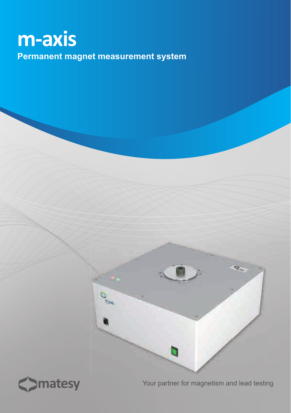# **m-axis Permanent magnet measurement system**



Your partner for magnetism and lead testing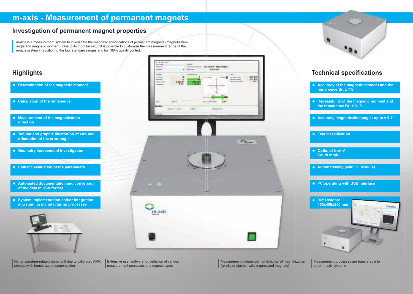# **m-axis - Measurement of permanent magnets**

### **Investigation of permanent magnet properties**

m-axis is a measurement system to investigate the magnetic specifications of permanent magnets (magnetization angle and magnetic moment). Due to its modular setup it is possible to customize the measurement range of the m-axis system in addition to the four standard ranges and for 100% quality control.

## **Highlights**

Measurement processes are transferable to other m-axis systems

- **Determination of the magnetic moment**
- **Calculation of the remanence**
- **Measurement of the magnetization direction**
- **Tabular and graphic illustration of size and orientation of the error angle**
- **Geometry independent investigation**
- **Statistic evaluation of the parameters**
- **Automated documentation and conversion of the data in CSV format**
- **System implementation and/or integration into running manufacturing processes**



No temperature-related signal drift due to calibrated AMR sensors with temperature compensation





### **Technical specifications**

- **Accuracy of the magnetic moment and the remanence Br: ± 1%**
- **Repeatability of the magnetic moment and the remanence Br: ± 0,1%**
- **Accuracy magnetization angle: up to ± 0,1°**
- **Fast classification**
- **Optional North/ South modul**
- **Automatability (with I/O Module)**
- **PC operating with USB interface**



Measurement independent of direction of magnetization (axially or diamterically magnetized magnets)



Extensive user software for definition of various measurement processes and magnet types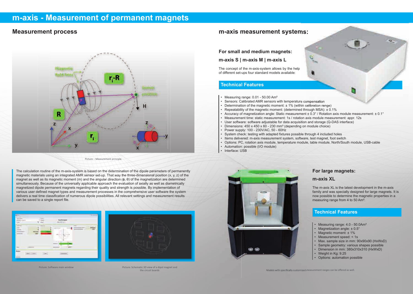# **m-axis - Measurement of permanent magnets**

### **Measurement process**



The calculation routine of the m-axis-system is based on the determination of the dipole parameters of permanently magnetic materials using an integrated AMR sensor set-up. That way the three-dimensional position (x, y, z) of the magnet as well as its magnetic moment (m) and the angular direction (ϕ, θ) of the magnetization are determined simultaneously. Because of the universally applicable approach the evaluation of axially as well as diametrically magnetized dipole permanent magnets regarding their quality and strength is possible. By implementation of various user defined magnet types and measurement processes in the comprehensive user software the system delivers a real time classification of numerous dipole possibilities. All relevant settings and measurement results can be saved to a single report file.





- Measuring range: 4.0 50.0Am<sup>2</sup>
- Magnetization angle: ± 0.5°
- Magnetic moment: ± 1%
- Measurement speed: < 1s
- Max. sample size in mm: 90x90x90 (HxWxD)
- Sample geometry: various shapes possible
- Dimension in mm: 380x310x310 (HxWxD)
- Weight in Kg: 9.25
- Options: automation possible

### **For large magnets:**

#### **m-axis XL**

The m-axis XL is the latest development in the m-axis family and was specially designed for large magnets. It is now possible to determine the magnetic properties in a measuring range from 4 to 50 Am².

### **Technical Features**

### **m-axis measurement systems:**

Picture: : Measurement principle

Picture: Schematic 3D view of a dipol magnet and the circuit boards

Picture: Software main window

**For small and medium magnets:**

### **m-axis S | m-axis M | m-axis L**

The concept of the m-axis-system allows by the help of different set-ups four standard models available:

#### **Technical Features**

- Measuring range: 0.01 50.00 Am<sup>2</sup>
- Sensors: Calibrated AMR sensors with temperature compensation
- Determination of the magnetic moment: ± 1% (within calibration range)
- Repeatability of the magnetic moment: (determined through MSA): ± 0.1%
- 
- Measurement time: static measurement: 1s / rotation axis module measurement: appr. 12s
- User software: software adjustable for data acquisition and storage (Q-DAS interface)
- Dimensions: 450 x 450 x 60 230 mm<sup>3</sup> (depending on module choice)
- Power supply: 100 230V/AC, 50 60Hz
- System check: testing with adapted fixtures possible through 4 included holes
- Items delivered: m-axis measurement system, software, test magnet, foot switch
- Options: PC, rotation axis module, temperature module, table module, North/South module, USB-cable
- Automation: possible (I/O module)
- Interface: USB



• Accuracy of magnetization angle: Static measurement ± 0.3° / Rotation axis module measurement: ± 0.1°

Models with specifically customized measurement ranges can be offered as well.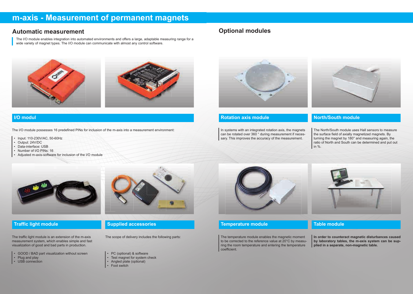# **m-axis - Measurement of permanent magnets**

### **Automatic measurement**

The I/O module enables integration into automated environments and offers a large, adaptable measuring range for a wide variety of magnet types. The I/O module can communicate with almost any control software.

### **I/O modul**

The I/O module possesses 16 predefined PINs for inclusion of the m-axis into a measurement environment:

- GOOD / BAD part visualization without screen
- Plug and play
- USB connection



- Input: 110-230V/AC, 50-60Hz
- Output: 24V/DC
- Data-interface: USB
- Number of I/O PINs: 16
- Adjusted m-axis-software for inclusion of the I/O module



### **Traffic light module**

The traffic light module is an extension of the m-axis measurement system, which enables simple and fast visualization of good and bad parts in production.

### **Supplied accessories**

The scope of delivery includes the following parts:

- PC (optional) & software
- Test magnet for system check
- Angled plate (optional)
- **Foot switch**



### **Optional modules**



### **Rotation axis module**

In systems with an integrated rotation axis, the magnets can be rotated over 360 ° during measurement if necessary. This improves the accuracy of the measurement.



### **North/South module**

The North/South module uses Hall sensors to measure the surface field of axially magnetized magnets. By turning the magnet by 180° and measuring again, the ratio of North and South can be determined and put out in %.



### **Temperature module**

The temperature module enables the magnetic moment to be corrected to the reference value at 20°C by measuring the room temperature and entering the temperature coefficient.



#### **Table module**

**In order to counteract magnetic disturbances caused by laboratory tables, the m-axis system can be supplied in a separate, non-magnetic table.**